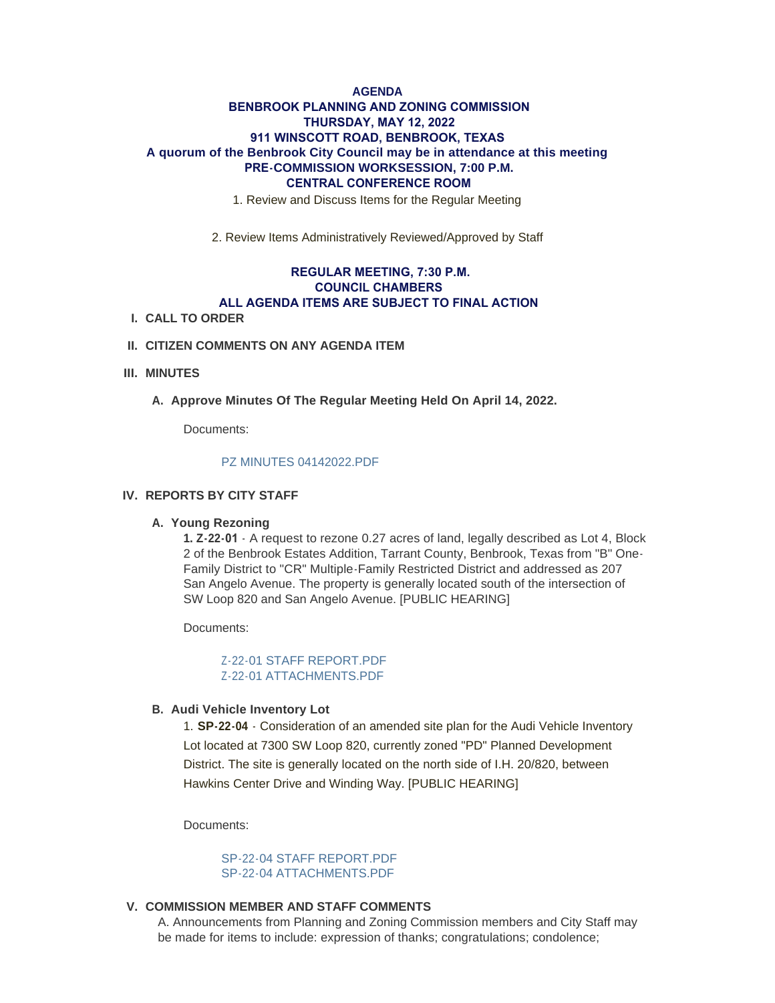# **AGENDA BENBROOK PLANNING AND ZONING COMMISSION THURSDAY, MAY 12, 2022 911 WINSCOTT ROAD, BENBROOK, TEXAS A quorum of the Benbrook City Council may be in attendance at this meeting PRE-COMMISSION WORKSESSION, 7:00 P.M. CENTRAL CONFERENCE ROOM**

1. Review and Discuss Items for the Regular Meeting

2. Review Items Administratively Reviewed/Approved by Staff

## **REGULAR MEETING, 7:30 P.M. COUNCIL CHAMBERS ALL AGENDA ITEMS ARE SUBJECT TO FINAL ACTION**

**CALL TO ORDER I.**

## **CITIZEN COMMENTS ON ANY AGENDA ITEM II.**

### **MINUTES III.**

A. Approve Minutes Of The Regular Meeting Held On April 14, 2022.

Documents:

#### [PZ MINUTES 04142022.PDF](http://www.benbrook-tx.gov/AgendaCenter/ViewFile/Item/6695?fileID=5124)

## **REPORTS BY CITY STAFF IV.**

### **Young Rezoning A.**

**1. Z-22-01** - A request to rezone 0.27 acres of land, legally described as Lot 4, Block 2 of the Benbrook Estates Addition, Tarrant County, Benbrook, Texas from "B" One-Family District to "CR" Multiple-Family Restricted District and addressed as 207 San Angelo Avenue. The property is generally located south of the intersection of SW Loop 820 and San Angelo Avenue. [PUBLIC HEARING]

Documents:

7-22-01 STAFF REPORT PDF [Z-22-01 ATTACHMENTS.PDF](http://www.benbrook-tx.gov/AgendaCenter/ViewFile/Item/6693?fileID=5113)

### **Audi Vehicle Inventory Lot B.**

1. **SP-22-04** - Consideration of an amended site plan for the Audi Vehicle Inventory Lot located at 7300 SW Loop 820, currently zoned "PD" Planned Development District. The site is generally located on the north side of I.H. 20/820, between Hawkins Center Drive and Winding Way. [PUBLIC HEARING]

Documents:

[SP-22-04 STAFF REPORT.PDF](http://www.benbrook-tx.gov/AgendaCenter/ViewFile/Item/6694?fileID=5121) [SP-22-04 ATTACHMENTS.PDF](http://www.benbrook-tx.gov/AgendaCenter/ViewFile/Item/6694?fileID=5122)

### **COMMISSION MEMBER AND STAFF COMMENTS V.**

A. Announcements from Planning and Zoning Commission members and City Staff may be made for items to include: expression of thanks; congratulations; condolence;